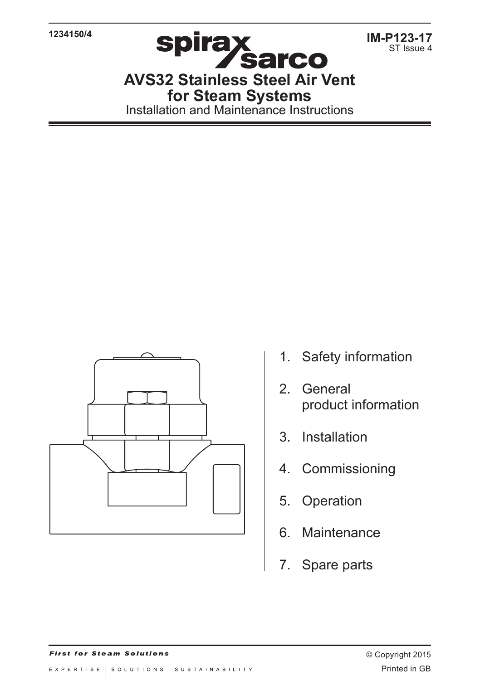**1234150/4**

**IM-P123-17** ST Issue 4

**AVS32 Stainless Steel Air Vent for Steam Systems** Installation and Maintenance Instructions



- 1. Safety information
- 2. General product information
- 3. Installation
- 4. Commissioning
- 5. Operation
- 6. Maintenance
- 7. Spare parts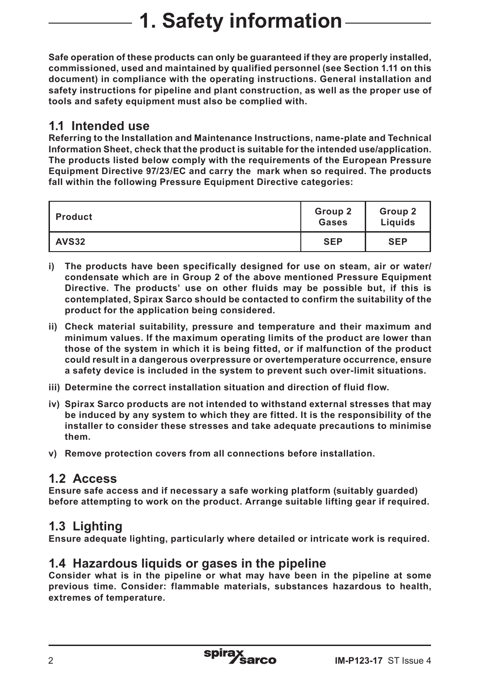# **1. Safety information**

**Safe operation of these products can only be guaranteed if they are properly installed, commissioned, used and maintained by qualified personnel (see Section 1.11 on this document) in compliance with the operating instructions. General installation and safety instructions for pipeline and plant construction, as well as the proper use of tools and safety equipment must also be complied with.**

## **1.1 Intended use**

**Referring to the Installation and Maintenance Instructions, name-plate and Technical Information Sheet, check that the product is suitable for the intended use/application. The products listed below comply with the requirements of the European Pressure Equipment Directive 97/23/EC and carry the mark when so required. The products fall within the following Pressure Equipment Directive categories:**

| <b>Product</b> | Group 2<br>Gases | Group 2<br>Liquids |
|----------------|------------------|--------------------|
| <b>AVS32</b>   | <b>SEP</b>       | <b>SEP</b>         |

- **i) The products have been specifically designed for use on steam, air or water/ condensate which are in Group 2 of the above mentioned Pressure Equipment Directive. The products' use on other fluids may be possible but, if this is contemplated, Spirax Sarco should be contacted to confirm the suitability of the product for the application being considered.**
- **ii) Check material suitability, pressure and temperature and their maximum and minimum values. If the maximum operating limits of the product are lower than those of the system in which it is being fitted, or if malfunction of the product could result in a dangerous overpressure or overtemperature occurrence, ensure a safety device is included in the system to prevent such over-limit situations.**
- **iii) Determine the correct installation situation and direction of fluid flow.**
- **iv) Spirax Sarco products are not intended to withstand external stresses that may be induced by any system to which they are fitted. It is the responsibility of the installer to consider these stresses and take adequate precautions to minimise them.**
- **v) Remove protection covers from all connections before installation.**

## **1.2 Access**

**Ensure safe access and if necessary a safe working platform (suitably guarded) before attempting to work on the product. Arrange suitable lifting gear if required.**

# **1.3 Lighting**

**Ensure adequate lighting, particularly where detailed or intricate work is required.**

### **1.4 Hazardous liquids or gases in the pipeline**

**Consider what is in the pipeline or what may have been in the pipeline at some previous time. Consider: flammable materials, substances hazardous to health, extremes of temperature.**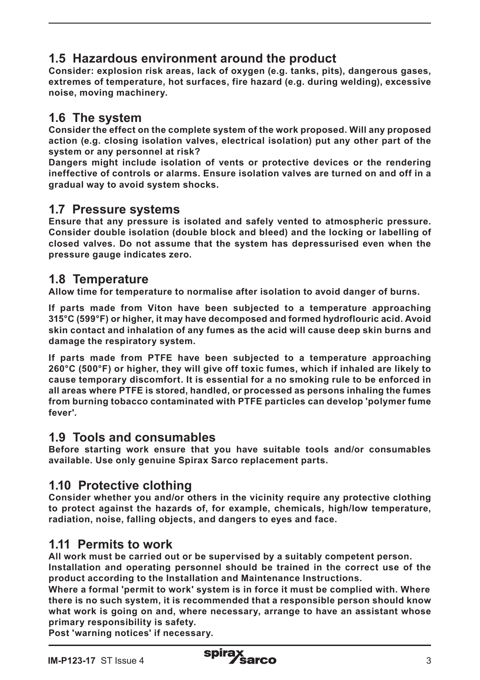# **1.5 Hazardous environment around the product**

**Consider: explosion risk areas, lack of oxygen (e.g. tanks, pits), dangerous gases, extremes of temperature, hot surfaces, fire hazard (e.g. during welding), excessive noise, moving machinery.**

# **1.6 The system**

**Consider the effect on the complete system of the work proposed. Will any proposed action (e.g. closing isolation valves, electrical isolation) put any other part of the system or any personnel at risk?** 

**Dangers might include isolation of vents or protective devices or the rendering ineffective of controls or alarms. Ensure isolation valves are turned on and off in a gradual way to avoid system shocks.**

### **1.7 Pressure systems**

**Ensure that any pressure is isolated and safely vented to atmospheric pressure. Consider double isolation (double block and bleed) and the locking or labelling of closed valves. Do not assume that the system has depressurised even when the pressure gauge indicates zero.**

## **1.8 Temperature**

**Allow time for temperature to normalise after isolation to avoid danger of burns.**

**If parts made from Viton have been subjected to a temperature approaching 315°C (599°F) or higher, it may have decomposed and formed hydroflouric acid. Avoid skin contact and inhalation of any fumes as the acid will cause deep skin burns and damage the respiratory system.**

**If parts made from PTFE have been subjected to a temperature approaching 260°C (500°F) or higher, they will give off toxic fumes, which if inhaled are likely to cause temporary discomfort. It is essential for a no smoking rule to be enforced in all areas where PTFE is stored, handled, or processed as persons inhaling the fumes from burning tobacco contaminated with PTFE particles can develop 'polymer fume fever'.**

### **1.9 Tools and consumables**

**Before starting work ensure that you have suitable tools and/or consumables available. Use only genuine Spirax Sarco replacement parts.**

## **1.10 Protective clothing**

**Consider whether you and/or others in the vicinity require any protective clothing to protect against the hazards of, for example, chemicals, high/low temperature, radiation, noise, falling objects, and dangers to eyes and face.**

## **1.11 Permits to work**

**All work must be carried out or be supervised by a suitably competent person. Installation and operating personnel should be trained in the correct use of the** 

**product according to the Installation and Maintenance Instructions.**

**Where a formal 'permit to work' system is in force it must be complied with. Where there is no such system, it is recommended that a responsible person should know what work is going on and, where necessary, arrange to have an assistant whose primary responsibility is safety.**

**Post 'warning notices' if necessary.**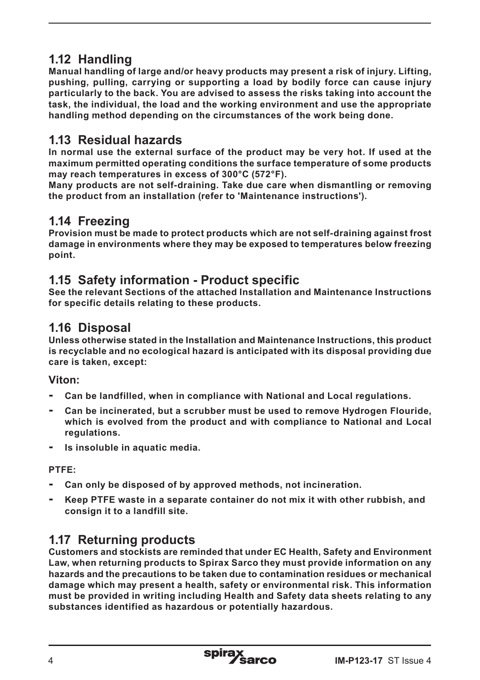# **1.12 Handling**

**Manual handling of large and/or heavy products may present a risk of injury. Lifting, pushing, pulling, carrying or supporting a load by bodily force can cause injury particularly to the back. You are advised to assess the risks taking into account the task, the individual, the load and the working environment and use the appropriate handling method depending on the circumstances of the work being done.**

## **1.13 Residual hazards**

**In normal use the external surface of the product may be very hot. If used at the maximum permitted operating conditions the surface temperature of some products may reach temperatures in excess of 300°C (572°F).**

**Many products are not self-draining. Take due care when dismantling or removing the product from an installation (refer to 'Maintenance instructions').**

## **1.14 Freezing**

**Provision must be made to protect products which are not self-draining against frost damage in environments where they may be exposed to temperatures below freezing point.**

## **1.15 Safety information - Product specific**

**See the relevant Sections of the attached Installation and Maintenance Instructions for specific details relating to these products.**

### **1.16 Disposal**

**Unless otherwise stated in the Installation and Maintenance Instructions, this product is recyclable and no ecological hazard is anticipated with its disposal providing due care is taken, except:**

**Viton:**

- **- Can be landfilled, when in compliance with National and Local regulations.**
- **- Can be incinerated, but a scrubber must be used to remove Hydrogen Flouride, which is evolved from the product and with compliance to National and Local regulations.**
- **- Is insoluble in aquatic media.**

**PTFE:**

- **- Can only be disposed of by approved methods, not incineration.**
- **- Keep PTFE waste in a separate container do not mix it with other rubbish, and consign it to a landfill site.**

## **1.17 Returning products**

**Customers and stockists are reminded that under EC Health, Safety and Environment Law, when returning products to Spirax Sarco they must provide information on any hazards and the precautions to be taken due to contamination residues or mechanical damage which may present a health, safety or environmental risk. This information must be provided in writing including Health and Safety data sheets relating to any substances identified as hazardous or potentially hazardous.**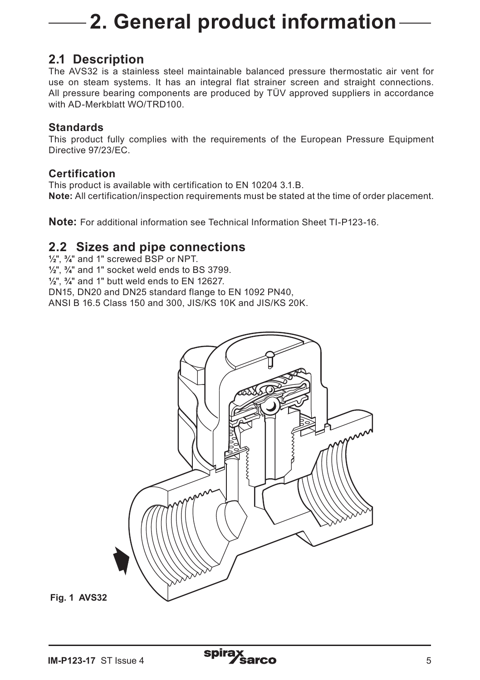# **2. General product information**

### **2.1 Description**

The AVS32 is a stainless steel maintainable balanced pressure thermostatic air vent for use on steam systems. It has an integral flat strainer screen and straight connections. All pressure bearing components are produced by TÜV approved suppliers in accordance with AD-Merkblatt WO/TRD100

#### **Standards**

This product fully complies with the requirements of the European Pressure Equipment Directive 97/23/EC.

#### **Certification**

This product is available with certification to EN 10204 3.1.B. **Note:** All certification/inspection requirements must be stated at the time of order placement.

**Note:** For additional information see Technical Information Sheet TI-P123-16.

### **2.2 Sizes and pipe connections**

**½**", **¾**" and 1" screwed BSP or NPT.

**½**", **¾**" and 1" socket weld ends to BS 3799.

**½**", **¾**" and 1" butt weld ends to EN 12627.

DN15, DN20 and DN25 standard flange to EN 1092 PN40,

ANSI B 16.5 Class 150 and 300, JIS/KS 10K and JIS/KS 20K.



**Fig. 1 AVS32**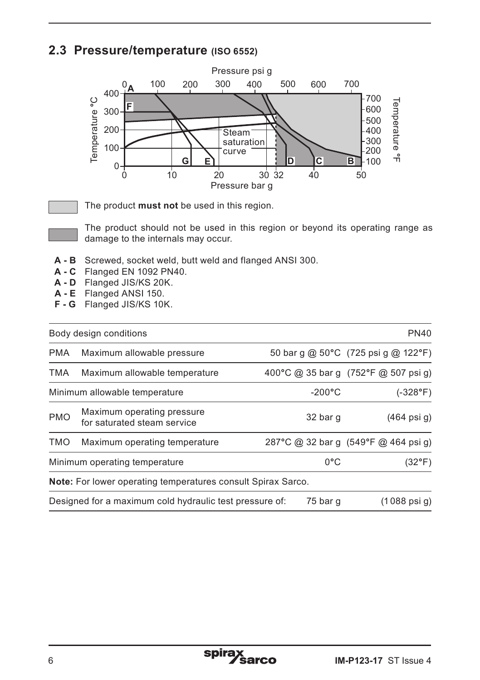## **2.3 Pressure/temperature (ISO 6552)**



Ξ

The product **must not** be used in this region.

 The product should not be used in this region or beyond its operating range as damage to the internals may occur.

- **A B** Screwed, socket weld, butt weld and flanged ANSI 300.
- **A C** Flanged EN 1092 PN40.
- **A D** Flanged JIS/KS 20K.
- **A E** Flanged ANSI 150.
- **F G** Flanged JIS/KS 10K.

|                               | Body design conditions                                       |                  | <b>PN40</b>                          |
|-------------------------------|--------------------------------------------------------------|------------------|--------------------------------------|
| <b>PMA</b>                    | Maximum allowable pressure                                   |                  | 50 bar g @ 50°C (725 psi g @ 122°F)  |
| TMA                           | Maximum allowable temperature                                |                  | 400°C @ 35 bar g (752°F @ 507 psi g) |
| Minimum allowable temperature |                                                              | $-200^{\circ}$ C | $(-328^{\circ}F)$                    |
| <b>PMO</b>                    | Maximum operating pressure<br>for saturated steam service    | 32 bar q         | $(464$ psi q)                        |
| <b>TMO</b>                    | Maximum operating temperature                                |                  | 287°C @ 32 bar q (549°F @ 464 psi q) |
| Minimum operating temperature |                                                              | $0^{\circ}$ C    | (32°F)                               |
|                               | Note: For lower operating temperatures consult Spirax Sarco. |                  |                                      |
|                               | Designed for a maximum cold hydraulic test pressure of:      | 75 bar q         | $(1088 \text{ psi g})$               |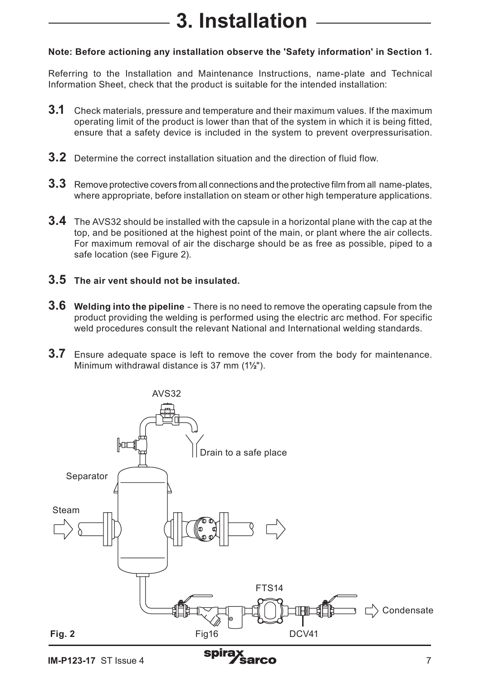# **3. Installation**

#### **Note: Before actioning any installation observe the 'Safety information' in Section 1.**

Referring to the Installation and Maintenance Instructions, name-plate and Technical Information Sheet, check that the product is suitable for the intended installation:

- **3.1** Check materials, pressure and temperature and their maximum values. If the maximum operating limit of the product is lower than that of the system in which it is being fitted, ensure that a safety device is included in the system to prevent overpressurisation.
- **3.2** Determine the correct installation situation and the direction of fluid flow.
- **3.3** Remove protective covers from all connections and the protective film from all name-plates, where appropriate, before installation on steam or other high temperature applications.
- **3.4** The AVS32 should be installed with the capsule in a horizontal plane with the cap at the top, and be positioned at the highest point of the main, or plant where the air collects. For maximum removal of air the discharge should be as free as possible, piped to a safe location (see Figure 2).
- **3.5 The air vent should not be insulated.**
- **3.6 Welding into the pipeline** There is no need to remove the operating capsule from the product providing the welding is performed using the electric arc method. For specific weld procedures consult the relevant National and International welding standards.
- **3.7** Ensure adequate space is left to remove the cover from the body for maintenance. Minimum withdrawal distance is 37 mm (1**½**").

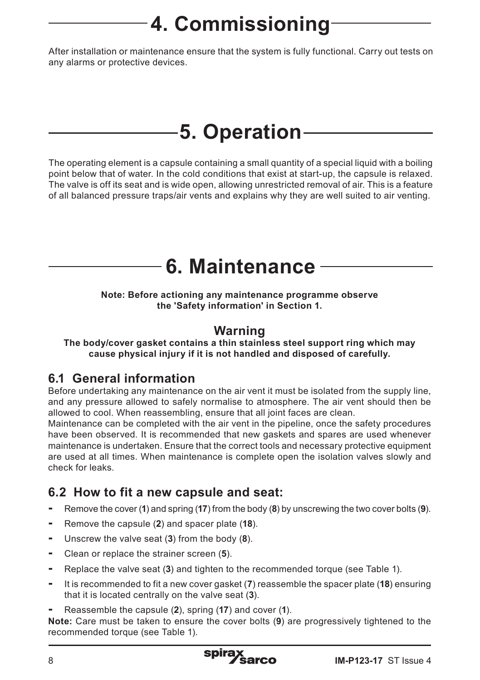# **4. Commissioning**

After installation or maintenance ensure that the system is fully functional. Carry out tests on any alarms or protective devices.

# **5. Operation**

The operating element is a capsule containing a small quantity of a special liquid with a boiling point below that of water. In the cold conditions that exist at start-up, the capsule is relaxed. The valve is off its seat and is wide open, allowing unrestricted removal of air. This is a feature of all balanced pressure traps/air vents and explains why they are well suited to air venting.

# **6. Maintenance**

**Note: Before actioning any maintenance programme observe the 'Safety information' in Section 1.**

## **Warning**

**The body/cover gasket contains a thin stainless steel support ring which may cause physical injury if it is not handled and disposed of carefully.**

## **6.1 General information**

Before undertaking any maintenance on the air vent it must be isolated from the supply line, and any pressure allowed to safely normalise to atmosphere. The air vent should then be allowed to cool. When reassembling, ensure that all joint faces are clean.

Maintenance can be completed with the air vent in the pipeline, once the safety procedures have been observed. It is recommended that new gaskets and spares are used whenever maintenance is undertaken. Ensure that the correct tools and necessary protective equipment are used at all times. When maintenance is complete open the isolation valves slowly and check for leaks.

## **6.2 How to fit a new capsule and seat:**

- **-** Remove the cover (**1**) and spring (**17**) from the body (**8**) by unscrewing the two cover bolts (**9**).
- **-** Remove the capsule (**2**) and spacer plate (**18**).
- **-** Unscrew the valve seat (**3**) from the body (**8**).
- **-** Clean or replace the strainer screen (**5**).
- **-** Replace the valve seat (**3**) and tighten to the recommended torque (see Table 1).
- **-** It is recommended to fit a new cover gasket (**7**) reassemble the spacer plate (**18**) ensuring that it is located centrally on the valve seat (**3**).
- **-** Reassemble the capsule (**2**), spring (**17**) and cover (**1**).

**Note:** Care must be taken to ensure the cover bolts (**9**) are progressively tightened to the recommended torque (see Table 1).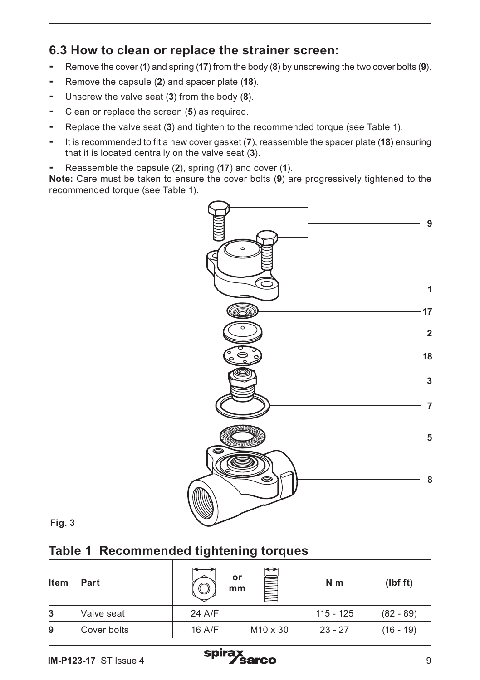## **6.3 How to clean or replace the strainer screen:**

- **-** Remove the cover (**1**) and spring (**17**) from the body (**8**) by unscrewing the two cover bolts (**9**).
- **-** Remove the capsule (**2**) and spacer plate (**18**).
- **-** Unscrew the valve seat (**3**) from the body (**8**).
- **-** Clean or replace the screen (**5**) as required.
- **-** Replace the valve seat (**3**) and tighten to the recommended torque (see Table 1).
- **-** It is recommended to fit a new cover gasket (**7**), reassemble the spacer plate (**18**) ensuring that it is located centrally on the valve seat (**3**).
- **-** Reassemble the capsule (**2**), spring (**17**) and cover (**1**).

**Note:** Care must be taken to ensure the cover bolts (**9**) are progressively tightened to the recommended torque (see Table 1).



**Fig. 3**

## **Table 1 Recommended tightening torques**

| Item | Part        |        | ⊷<br>or<br>mm        | N <sub>m</sub> | (lbf ft)    |
|------|-------------|--------|----------------------|----------------|-------------|
| 3    | Valve seat  | 24 A/F |                      | 115 - 125      | $(82 - 89)$ |
| 9    | Cover bolts | 16 A/F | M <sub>10</sub> x 30 | $23 - 27$      | $(16 - 19)$ |

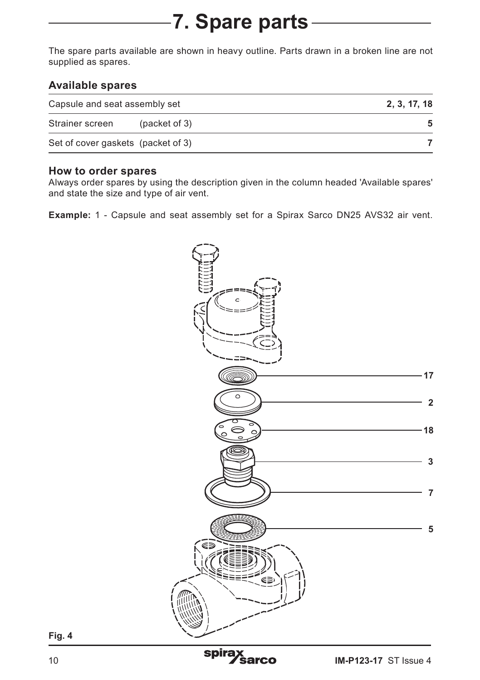# **7. Spare parts**

The spare parts available are shown in heavy outline. Parts drawn in a broken line are not supplied as spares.

#### **Available spares**

| Capsule and seat assembly set      |               | 2, 3, 17, 18 |
|------------------------------------|---------------|--------------|
| Strainer screen                    | (packet of 3) | 5.           |
| Set of cover gaskets (packet of 3) |               |              |

#### **How to order spares**

Always order spares by using the description given in the column headed 'Available spares' and state the size and type of air vent.

**Example:** 1 - Capsule and seat assembly set for a Spirax Sarco DN25 AVS32 air vent.